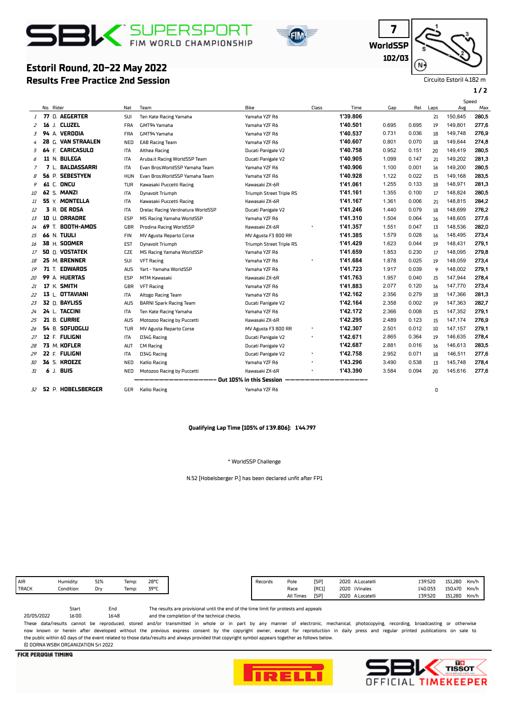# **BIX** SUPERSPORT



**WorldSSP 7 102/03**

Circuito Estoril 4.182 m

**1 / 2**

## **Results Free Practice 2nd Session Estoril Round, 20-22 May 2022**

|    |    |                           |            |                                   |                                 |       |          |       |       |      |         | Speed |
|----|----|---------------------------|------------|-----------------------------------|---------------------------------|-------|----------|-------|-------|------|---------|-------|
|    |    | No. Rider                 | Nat        | Team                              | Bike                            | Class | Time     | Gap   | Rel.  | Laps | Avg     | Max   |
| 1  |    | 77 D. AEGERTER            | SUI        | Ten Kate Racing Yamaha            | Yamaha YZF R6                   |       | 1'39.806 |       |       | 21   | 150,845 | 280,5 |
| 2  | 16 | J. CLUZEL                 | <b>FRA</b> | GMT94 Yamaha                      | Yamaha YZF R6                   |       | 1'40.501 | 0.695 | 0.695 | 19   | 149,801 | 277,6 |
| 3  |    | 94 A. VERDOIA             | <b>FRA</b> | GMT94 Yamaha                      | Yamaha YZF R6                   |       | 1'40.537 | 0.731 | 0.036 | 18   | 149,748 | 276,9 |
| 4  |    | 28 G. VAN STRAALEN        | NED        | <b>EAB Racing Team</b>            | Yamaha YZF R6                   |       | 1'40.607 | 0.801 | 0.070 | 18   | 149,644 | 274,8 |
| 5  |    | 64 F. CARICASULO          | <b>ITA</b> | Althea Racing                     | Ducati Panigale V2              |       | 1'40.758 | 0.952 | 0.151 | 20   | 149,419 | 280,5 |
| 6  |    | 11 N. BULEGA              | ITA        | Aruba.it Racing WorldSSP Team     | Ducati Panigale V2              |       | 1'40.905 | 1.099 | 0.147 | 21   | 149,202 | 281,3 |
| 7  |    | 7 L. BALDASSARRI          | <b>ITA</b> | Evan Bros.WorldSSP Yamaha Team    | Yamaha YZF R6                   |       | 1'40.906 | 1.100 | 0.001 | 16   | 149,200 | 280,5 |
| 8  |    | <b>SEBESTYEN</b><br>56 P. | <b>HUN</b> | Evan Bros.WorldSSP Yamaha Team    | Yamaha YZF R6                   |       | 1'40.928 | 1.122 | 0.022 | 15   | 149,168 | 283,5 |
| 9  |    | <b>61 C. ONCU</b>         | TUR        | Kawasaki Puccetti Racing          | Kawasaki ZX-6R                  |       | 1'41.061 | 1.255 | 0.133 | 18   | 148,971 | 281,3 |
| 10 |    | 62 S. MANZI               | ITA        | Dynavolt Triumph                  | <b>Triumph Street Triple RS</b> |       | 1'41.161 | 1.355 | 0.100 | 17   | 148,824 | 280,5 |
| 11 |    | 55 Y. MONTELLA            | ITA        | Kawasaki Puccetti Racing          | Kawasaki ZX-6R                  |       | 1'41.167 | 1.361 | 0.006 | 21   | 148,815 | 284,2 |
| 12 |    | <b>3 R. DE ROSA</b>       | ITA        | Orelac Racing Verdnatura WorldSSP | Ducati Panigale V2              |       | 1'41.246 | 1.440 | 0.079 | 18   | 148,699 | 276,2 |
| 13 |    | 10 U. ORRADRE             | ESP        | MS Racing Yamaha WorldSSP         | Yamaha YZF R6                   |       | 1'41.310 | 1.504 | 0.064 | 16   | 148.605 | 277,6 |
| 14 |    | <b>69 T. BOOTH-AMOS</b>   | GBR        | Prodina Racing WorldSSP           | Kawasaki ZX-6R                  |       | 1'41.357 | 1.551 | 0.047 | 13   | 148,536 | 282,0 |
| 15 |    | <b>66 N. TUULI</b>        | <b>FIN</b> | MV Agusta Reparto Corse           | MV Agusta F3 800 RR             |       | 1'41.385 | 1.579 | 0.028 | 16   | 148,495 | 273,4 |
| 16 |    | 38 H. SOOMER              | EST        | Dynavolt Triumph                  | Triumph Street Triple RS        |       | 1'41.429 | 1.623 | 0.044 | 19   | 148,431 | 279.1 |
| 17 |    | <b>50 Q. VOSTATEK</b>     | <b>CZE</b> | MS Racing Yamaha WorldSSP         | Yamaha YZF R6                   |       | 1'41.659 | 1.853 | 0.230 | 17   | 148,095 | 279,8 |
| 18 |    | 25 M. BRENNER             | <b>SUI</b> | <b>VFT Racing</b>                 | Yamaha YZF R6                   |       | 1'41.684 | 1.878 | 0.025 | 19   | 148,059 | 273,4 |
| 19 |    | 71 T. EDWARDS             | <b>AUS</b> | Yart - Yamaha WorldSSP            | Yamaha YZF R6                   |       | 1'41.723 | 1.917 | 0.039 | 9    | 148,002 | 279.1 |
| 20 |    | 99 A. HUERTAS             | ESP        | <b>MTM Kawasaki</b>               | Kawasaki ZX-6R                  |       | 1'41.763 | 1.957 | 0.040 | 15   | 147,944 | 278,4 |
| 21 |    | 17 K. SMITH               | GBR        | <b>VFT Racing</b>                 | Yamaha YZF R6                   |       | 1'41.883 | 2.077 | 0.120 | 16   | 147.770 | 273,4 |
| 22 |    | 13 L. OTTAVIANI           | ITA        | Altogo Racing Team                | Yamaha YZF R6                   |       | 1'42.162 | 2.356 | 0.279 | 18   | 147,366 | 281,3 |
| 23 |    | 32 0. BAYLISS             | <b>AUS</b> | <b>BARNI Spark Racing Team</b>    | Ducati Panigale V2              |       | 1'42.164 | 2.358 | 0.002 | 19   | 147,363 | 282,7 |
| 24 |    | 24 L. TACCINI             | ITA        | Ten Kate Racing Yamaha            | Yamaha YZF R6                   |       | 1'42.172 | 2.366 | 0.008 | 15   | 147,352 | 279.1 |
| 25 |    | 21 B. CURRIE              | <b>AUS</b> | Motozoo Racing by Puccetti        | Kawasaki ZX-6R                  |       | 1'42.295 | 2.489 | 0.123 | 15   | 147,174 | 276,9 |
| 26 |    | 54 B. SOFUOGLU            | TUR        | MV Agusta Reparto Corse           | MV Agusta F3 800 RR             |       | 1'42.307 | 2.501 | 0.012 | 10   | 147,157 | 279.1 |
| 27 |    | 12 F. FULIGNI             | <b>ITA</b> | D34G Racing                       | Ducati Panigale V2              |       | 1'42.671 | 2.865 | 0.364 | 19   | 146,635 | 278,4 |
| 28 |    | 73 M. KOFLER              | <b>AUT</b> | <b>CM Racing</b>                  | Ducati Panigale V2              |       | 1'42.687 | 2.881 | 0.016 | 16   | 146,613 | 283,5 |
| 29 |    | 22 F. FULIGNI             | ITA        | D34G Racing                       | Ducati Panigale V2              |       | 1'42.758 | 2.952 | 0.071 | 18   | 146,511 | 277,6 |
| 30 |    | <b>36 S. KROEZE</b>       | NED        | <b>Kallio Racing</b>              | Yamaha YZF R6                   |       | 1'43.296 | 3.490 | 0.538 | 13   | 145,748 | 278,4 |
| 31 |    | 6 J. BUIS                 | NED        | Motozoo Racing by Puccetti        | Kawasaki ZX-6R                  |       | 1'43.390 | 3.584 | 0.094 | 20   | 145,616 | 277,6 |
|    |    |                           |            |                                   | Out 105% in this Session        |       |          |       |       |      |         |       |
| 32 |    | 52 P. HOBELSBERGER        | GER        | <b>Kallio Racing</b>              | Yamaha YZF R6                   |       |          |       |       | 0    |         |       |

#### **Qualifying Lap Time (105% of 1'39.806): 1'44.797**

#### \* WorldSSP Challenge

N.52 (Hobelsberger P.) has been declared unft afer FP1

Start End

16:48

The results are provisional until the end of the time limit for protests and appeals

and the completion of the technical checks.

These data/results cannot be reproduced, stored and/or transmitted in whole or in part by any manner of electronic, mechanical, photocopying, recording, broadcasting or otherwise now known or herein afer developed without the previous express consent by the copyright owner, except for reproduction in daily press and regular printed publications on sale to the public within 60 days of the event related to those data/results and always provided that copyright symbol appears together as follows below. © DORNA WSBK ORGANIZATION Srl 2022

**FICR PERUGIA TIMING** 

20/05/2022